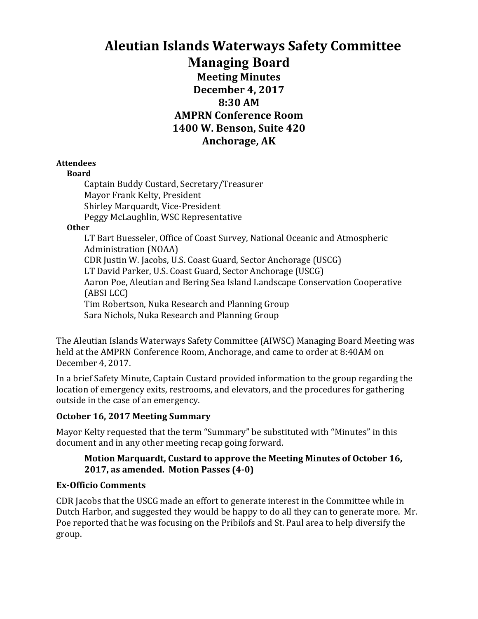# **Aleutian Islands Waterways Safety Committee Managing Board Meeting Minutes December 4, 2017 8:30 AM AMPRN Conference Room 1400 W. Benson, Suite 420** Anchorage, AK

#### **Attendees**

#### **Board**

Captain Buddy Custard, Secretary/Treasurer Mayor Frank Kelty, President Shirley Marquardt, Vice-President Peggy McLaughlin, WSC Representative

#### **Other**

LT Bart Buesseler, Office of Coast Survey, National Oceanic and Atmospheric Administration (NOAA) CDR Justin W. Jacobs, U.S. Coast Guard, Sector Anchorage (USCG) LT David Parker, U.S. Coast Guard, Sector Anchorage (USCG) Aaron Poe, Aleutian and Bering Sea Island Landscape Conservation Cooperative (ABSI LCC) Tim Robertson, Nuka Research and Planning Group Sara Nichols, Nuka Research and Planning Group

The Aleutian Islands Waterways Safety Committee (AIWSC) Managing Board Meeting was held at the AMPRN Conference Room, Anchorage, and came to order at 8:40AM on December 4, 2017.

In a brief Safety Minute, Captain Custard provided information to the group regarding the location of emergency exits, restrooms, and elevators, and the procedures for gathering outside in the case of an emergency.

#### **October 16, 2017 Meeting Summary**

Mayor Kelty requested that the term "Summary" be substituted with "Minutes" in this document and in any other meeting recap going forward.

### Motion Marquardt, Custard to approve the Meeting Minutes of October 16, **2017, as amended. Motion Passes (4-0)**

# **Ex-Officio Comments**

CDR Jacobs that the USCG made an effort to generate interest in the Committee while in Dutch Harbor, and suggested they would be happy to do all they can to generate more. Mr. Poe reported that he was focusing on the Pribilofs and St. Paul area to help diversify the group.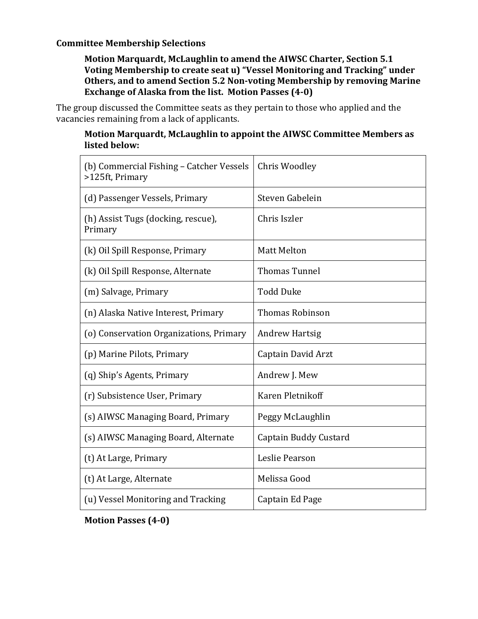#### **Committee Membership Selections**

Motion Marquardt, McLaughlin to amend the AIWSC Charter, Section 5.1 **Voting Membership to create seat u) "Vessel Monitoring and Tracking" under Others, and to amend Section 5.2 Non-voting Membership by removing Marine Exchange of Alaska from the list. Motion Passes (4-0)** 

The group discussed the Committee seats as they pertain to those who applied and the vacancies remaining from a lack of applicants.

#### **Motion Marquardt, McLaughlin to appoint the AIWSC Committee Members as listed below:**

| (b) Commercial Fishing - Catcher Vessels<br>>125ft, Primary | Chris Woodley          |
|-------------------------------------------------------------|------------------------|
| (d) Passenger Vessels, Primary                              | Steven Gabelein        |
| (h) Assist Tugs (docking, rescue),<br>Primary               | Chris Iszler           |
| (k) Oil Spill Response, Primary                             | <b>Matt Melton</b>     |
| (k) Oil Spill Response, Alternate                           | <b>Thomas Tunnel</b>   |
| (m) Salvage, Primary                                        | <b>Todd Duke</b>       |
| (n) Alaska Native Interest, Primary                         | <b>Thomas Robinson</b> |
| (o) Conservation Organizations, Primary                     | <b>Andrew Hartsig</b>  |
| (p) Marine Pilots, Primary                                  | Captain David Arzt     |
| (q) Ship's Agents, Primary                                  | Andrew J. Mew          |
| (r) Subsistence User, Primary                               | Karen Pletnikoff       |
| (s) AIWSC Managing Board, Primary                           | Peggy McLaughlin       |
| (s) AIWSC Managing Board, Alternate                         | Captain Buddy Custard  |
| (t) At Large, Primary                                       | Leslie Pearson         |
| (t) At Large, Alternate                                     | Melissa Good           |
| (u) Vessel Monitoring and Tracking                          | Captain Ed Page        |

**Motion Passes (4-0)**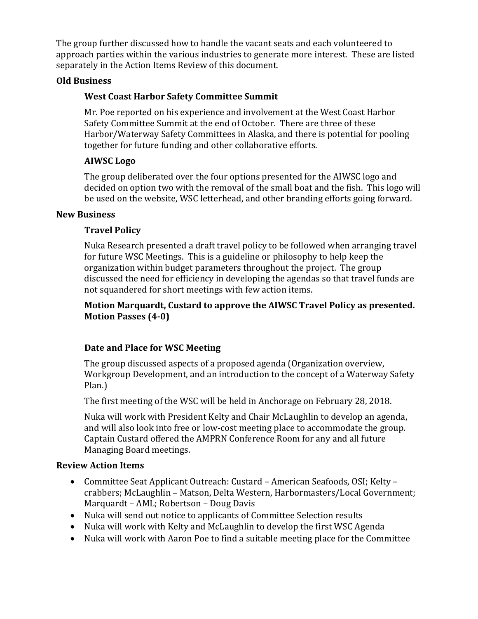The group further discussed how to handle the vacant seats and each volunteered to approach parties within the various industries to generate more interest. These are listed separately in the Action Items Review of this document.

### **Old Business**

# **West Coast Harbor Safety Committee Summit**

Mr. Poe reported on his experience and involvement at the West Coast Harbor Safety Committee Summit at the end of October. There are three of these Harbor/Waterway Safety Committees in Alaska, and there is potential for pooling together for future funding and other collaborative efforts.

# **AIWSC Logo**

The group deliberated over the four options presented for the AIWSC logo and decided on option two with the removal of the small boat and the fish. This logo will be used on the website, WSC letterhead, and other branding efforts going forward.

### **New Business**

# **Travel Policy**

Nuka Research presented a draft travel policy to be followed when arranging travel for future WSC Meetings. This is a guideline or philosophy to help keep the organization within budget parameters throughout the project. The group discussed the need for efficiency in developing the agendas so that travel funds are not squandered for short meetings with few action items.

### **Motion Marquardt, Custard to approve the AIWSC Travel Policy as presented. Motion Passes (4-0)**

# **Date and Place for WSC Meeting**

The group discussed aspects of a proposed agenda (Organization overview, Workgroup Development, and an introduction to the concept of a Waterway Safety Plan.)

The first meeting of the WSC will be held in Anchorage on February 28, 2018.

Nuka will work with President Kelty and Chair McLaughlin to develop an agenda, and will also look into free or low-cost meeting place to accommodate the group. Captain Custard offered the AMPRN Conference Room for any and all future Managing Board meetings.

# **Review Action Items**

- Committee Seat Applicant Outreach: Custard American Seafoods, OSI; Kelty crabbers; McLaughlin - Matson, Delta Western, Harbormasters/Local Government; Marquardt – AML; Robertson – Doug Davis
- Nuka will send out notice to applicants of Committee Selection results
- Nuka will work with Kelty and McLaughlin to develop the first WSC Agenda
- Nuka will work with Aaron Poe to find a suitable meeting place for the Committee